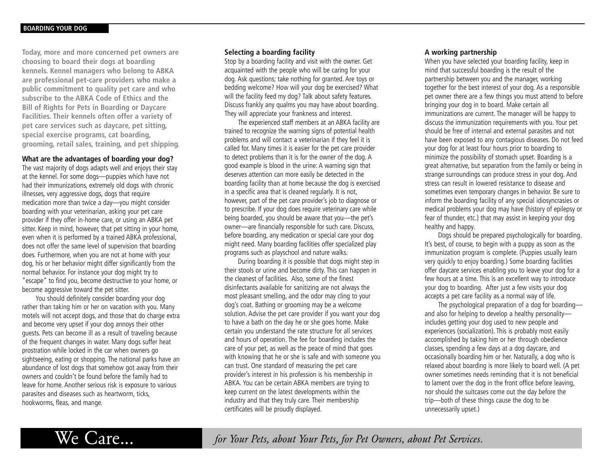**Today, more and more concerned pet owners are choosing to board their dogs at boarding kennels. Kennel managers who belong to ABKA are professional pet-care providers who make a public commitment to quality pet care and who subscribe to the ABKA Code of Ethics and the Bill of Rights for Pets in Boarding or Daycare Facilities. Their kennels often offer a variety of pet care services such as daycare, pet sitting, special exercise programs, cat boarding, grooming, retail sales, training, and pet shipping.**

### **What are the advantages of boarding your dog?**

The vast majority of dogs adapts well and enjoys their stay at the kennel. For some dogs—puppies which have not had their immunizations, extremely old dogs with chronic illnesses, very aggressive dogs, dogs that require medication more than twice a day—you might consider boarding with your veterinarian, asking your pet care provider if they offer in-home care, or using an ABKA pet sitter. Keep in mind, however, that pet sitting in your home, even when it is performed by a trained ABKA professional, does not offer the same level of supervision that boarding does. Furthermore, when you are not at home with your dog, his or her behavior might differ significantly from the normal behavior. For instance your dog might try to "escape" to find you, become destructive to your home, or become aggressive toward the pet sitter.

You should definitely consider boarding your dog rather than taking him or her on vacation with you. Many motels will not accept dogs, and those that do charge extra and become very upset if your dog annoys their other guests. Pets can become ill as a result of traveling because of the frequent changes in water. Many dogs suffer heat prostration while locked in the car when owners go sightseeing, eating or shopping. The national parks have an abundance of lost dogs that somehow got away from their owners and couldn't be found before the family had to leave for home. Another serious risk is exposure to various parasites and diseases such as heartworm, ticks, hookworms, fleas, and mange.

### **Selecting a boarding facility**

Stop by a boarding facility and visit with the owner. Get acquainted with the people who will be caring for your dog. Ask questions; take nothing for granted. Are toys or bedding welcome? How will your dog be exercised? What will the facility feed my dog? Talk about safety features. Discuss frankly any qualms you may have about boarding. They will appreciate your frankness and interest.

The experienced staff members at an ABKA facility are trained to recognize the warning signs of potential health problems and will contact a veterinarian if they feel it is called for. Many times it is easier for the pet care provider to detect problems than it is for the owner of the dog. A good example is blood in the urine: A warning sign that deserves attention can more easily be detected in the boarding facility than at home because the dog is exercised in a specific area that is cleaned regularly. It is not, however, part of the pet care provider's job to diagnose or to prescribe. If your dog does require veterinary care while being boarded, you should be aware that you—the pet's owner—are financially responsible for such care. Discuss, before boarding, any medication or special care your dog might need. Many boarding facilities offer specialized play programs such as playschool and nature walks.

During boarding it is possible that dogs might step in their stools or urine and become dirty. This can happen in the cleanest of facilities. Also, some of the finest disinfectants available for sanitizing are not always the most pleasant smelling, and the odor may cling to your dog's coat. Bathing or grooming may be a welcome solution. Advise the pet care provider if you want your dog to have a bath on the day he or she goes home. Make certain you understand the rate structure for all services and hours of operation. The fee for boarding includes the care of your pet, as well as the peace of mind that goes with knowing that he or she is safe and with someone you can trust. One standard of measuring the pet care provider's interest in his profession is his membership in ABKA. You can be certain ABKA members are trying to keep current on the latest developments within the industry and that they truly care. Their membership certificates will be proudly displayed.

## **A working partnership**

When you have selected your boarding facility, keep in mind that successful boarding is the result of the partnership between you and the manager, working together for the best interest of your dog. As a responsible pet owner there are a few things you must attend to before bringing your dog in to board. Make certain all immunizations are current. The manager will be happy to discuss the immunization requirements with you. Your pet should be free of internal and external parasites and not have been exposed to any contagious diseases. Do not feed your dog for at least four hours prior to boarding to minimize the possibility of stomach upset. Boarding is a great alternative, but separation from the family or being in strange surroundings can produce stress in your dog. And stress can result in lowered resistance to disease and sometimes even temporary changes in behavior. Be sure to inform the boarding facility of any special idiosyncrasies or medical problems your dog may have (history of epilepsy or fear of thunder, etc.) that may assist in keeping your dog healthy and happy.

Dogs should be prepared psychologically for boarding. It's best, of course, to begin with a puppy as soon as the immunization program is complete. (Puppies usually learn very quickly to enjoy boarding.) Some boarding facilities offer daycare services enabling you to leave your dog for a few hours at a time. This is an excellent way to introduce your dog to boarding. After just a few visits your dog accepts a pet care facility as a normal way of life.

The psychological preparation of a dog for boarding and also for helping to develop a healthy personality includes getting your dog used to new people and experiences (socialization). This is probably most easily accomplished by taking him or her through obedience classes, spending a few days at a dog daycare, and occasionally boarding him or her. Naturally, a dog who is relaxed about boarding is more likely to board well. (A pet owner sometimes needs reminding that it is not beneficial to lament over the dog in the front office before leaving, nor should the suitcases come out the day before the trip—both of these things cause the dog to be unnecessarily upset.)

We Care... *for Your Pets, about Your Pets, for Pet Owners, about Pet Services.*